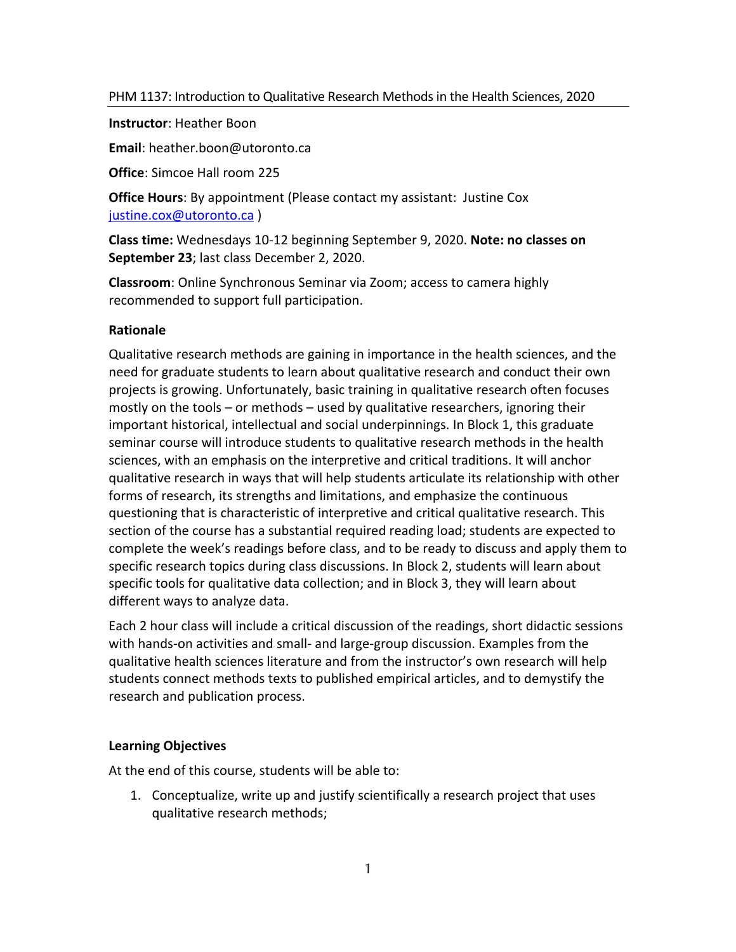**Instructor**: Heather Boon

**Email**: heather.boon@utoronto.ca

**Office**: Simcoe Hall room 225

**Office Hours**: By appointment (Please contact my assistant: Justine Cox justine.cox@utoronto.ca )

**Class time:** Wednesdays 10-12 beginning September 9, 2020. **Note: no classes on September 23**; last class December 2, 2020.

**Classroom**: Online Synchronous Seminar via Zoom; access to camera highly recommended to support full participation.

#### **Rationale**

Qualitative research methods are gaining in importance in the health sciences, and the need for graduate students to learn about qualitative research and conduct their own projects is growing. Unfortunately, basic training in qualitative research often focuses mostly on the tools – or methods – used by qualitative researchers, ignoring their important historical, intellectual and social underpinnings. In Block 1, this graduate seminar course will introduce students to qualitative research methods in the health sciences, with an emphasis on the interpretive and critical traditions. It will anchor qualitative research in ways that will help students articulate its relationship with other forms of research, its strengths and limitations, and emphasize the continuous questioning that is characteristic of interpretive and critical qualitative research. This section of the course has a substantial required reading load; students are expected to complete the week's readings before class, and to be ready to discuss and apply them to specific research topics during class discussions. In Block 2, students will learn about specific tools for qualitative data collection; and in Block 3, they will learn about different ways to analyze data.

Each 2 hour class will include a critical discussion of the readings, short didactic sessions with hands-on activities and small- and large-group discussion. Examples from the qualitative health sciences literature and from the instructor's own research will help students connect methods texts to published empirical articles, and to demystify the research and publication process.

#### **Learning Objectives**

At the end of this course, students will be able to:

1. Conceptualize, write up and justify scientifically a research project that uses qualitative research methods;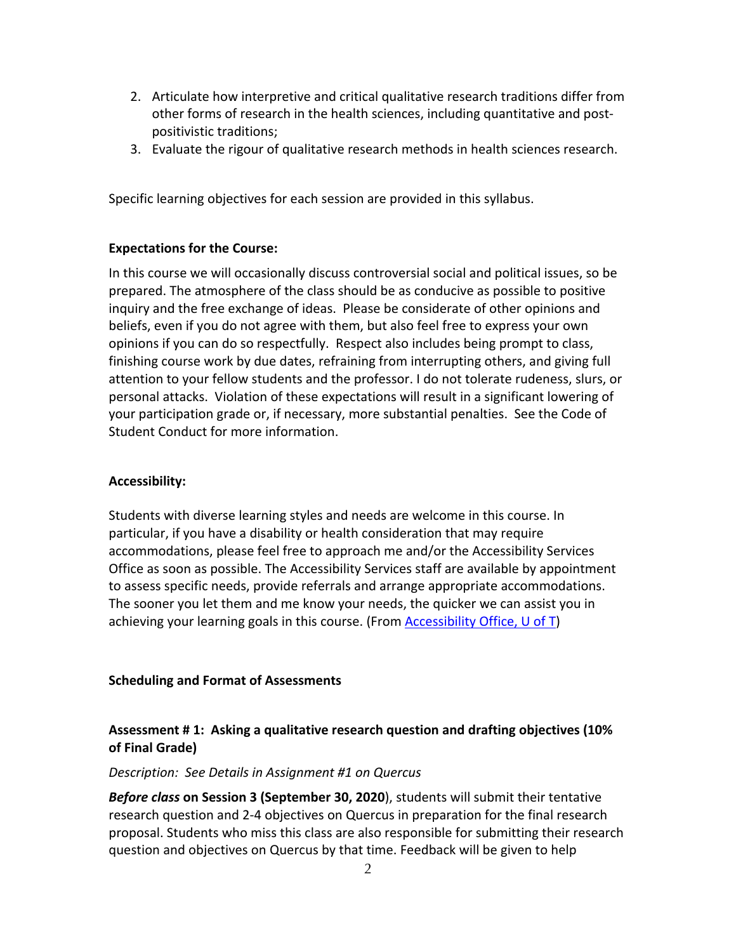- 2. Articulate how interpretive and critical qualitative research traditions differ from other forms of research in the health sciences, including quantitative and postpositivistic traditions;
- 3. Evaluate the rigour of qualitative research methods in health sciences research.

Specific learning objectives for each session are provided in this syllabus.

#### **Expectations for the Course:**

In this course we will occasionally discuss controversial social and political issues, so be prepared. The atmosphere of the class should be as conducive as possible to positive inquiry and the free exchange of ideas. Please be considerate of other opinions and beliefs, even if you do not agree with them, but also feel free to express your own opinions if you can do so respectfully. Respect also includes being prompt to class, finishing course work by due dates, refraining from interrupting others, and giving full attention to your fellow students and the professor. I do not tolerate rudeness, slurs, or personal attacks. Violation of these expectations will result in a significant lowering of your participation grade or, if necessary, more substantial penalties. See the Code of Student Conduct for more information.

#### **Accessibility:**

Students with diverse learning styles and needs are welcome in this course. In particular, if you have a disability or health consideration that may require accommodations, please feel free to approach me and/or the Accessibility Services Office as soon as possible. The Accessibility Services staff are available by appointment to assess specific needs, provide referrals and arrange appropriate accommodations. The sooner you let them and me know your needs, the quicker we can assist you in achieving your learning goals in this course. (From Accessibility Office, U of T)

#### **Scheduling and Format of Assessments**

# **Assessment # 1: Asking a qualitative research question and drafting objectives (10% of Final Grade)**

#### *Description: See Details in Assignment #1 on Quercus*

*Before class* **on Session 3 (September 30, 2020**), students will submit their tentative research question and 2-4 objectives on Quercus in preparation for the final research proposal. Students who miss this class are also responsible for submitting their research question and objectives on Quercus by that time. Feedback will be given to help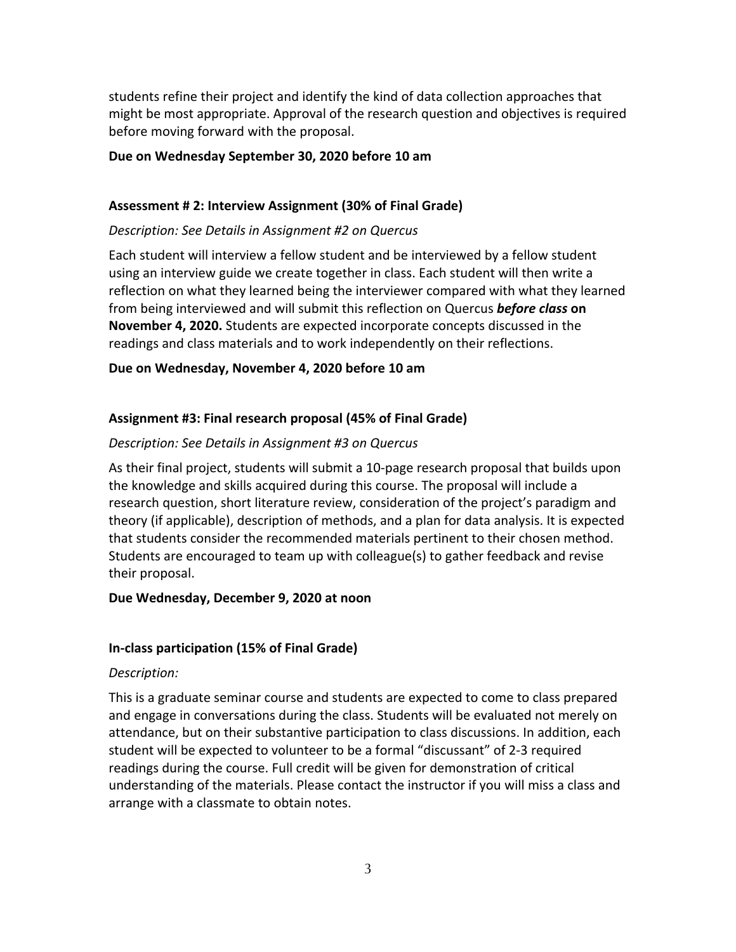students refine their project and identify the kind of data collection approaches that might be most appropriate. Approval of the research question and objectives is required before moving forward with the proposal.

#### **Due on Wednesday September 30, 2020 before 10 am**

#### **Assessment # 2: Interview Assignment (30% of Final Grade)**

#### *Description: See Details in Assignment #2 on Quercus*

Each student will interview a fellow student and be interviewed by a fellow student using an interview guide we create together in class. Each student will then write a reflection on what they learned being the interviewer compared with what they learned from being interviewed and will submit this reflection on Quercus *before class* **on November 4, 2020.** Students are expected incorporate concepts discussed in the readings and class materials and to work independently on their reflections.

#### **Due on Wednesday, November 4, 2020 before 10 am**

#### **Assignment #3: Final research proposal (45% of Final Grade)**

#### *Description: See Details in Assignment #3 on Quercus*

As their final project, students will submit a 10-page research proposal that builds upon the knowledge and skills acquired during this course. The proposal will include a research question, short literature review, consideration of the project's paradigm and theory (if applicable), description of methods, and a plan for data analysis. It is expected that students consider the recommended materials pertinent to their chosen method. Students are encouraged to team up with colleague(s) to gather feedback and revise their proposal.

#### **Due Wednesday, December 9, 2020 at noon**

#### **In-class participation (15% of Final Grade)**

#### *Description:*

This is a graduate seminar course and students are expected to come to class prepared and engage in conversations during the class. Students will be evaluated not merely on attendance, but on their substantive participation to class discussions. In addition, each student will be expected to volunteer to be a formal "discussant" of 2-3 required readings during the course. Full credit will be given for demonstration of critical understanding of the materials. Please contact the instructor if you will miss a class and arrange with a classmate to obtain notes.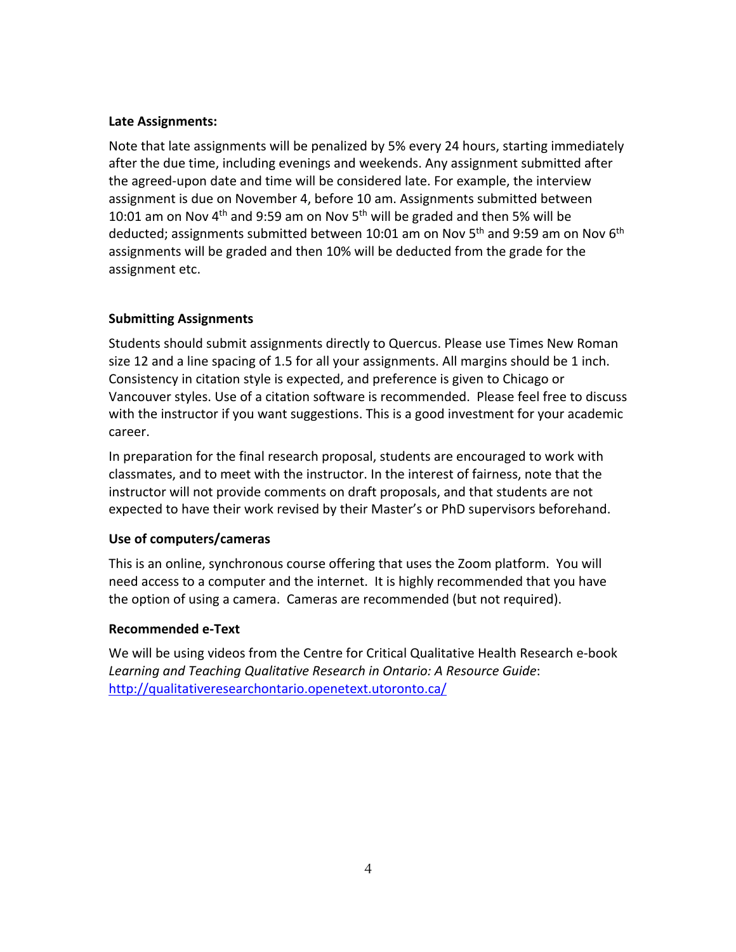## **Late Assignments:**

Note that late assignments will be penalized by 5% every 24 hours, starting immediately after the due time, including evenings and weekends. Any assignment submitted after the agreed-upon date and time will be considered late. For example, the interview assignment is due on November 4, before 10 am. Assignments submitted between 10:01 am on Nov 4<sup>th</sup> and 9:59 am on Nov 5<sup>th</sup> will be graded and then 5% will be deducted; assignments submitted between 10:01 am on Nov 5<sup>th</sup> and 9:59 am on Nov 6<sup>th</sup> assignments will be graded and then 10% will be deducted from the grade for the assignment etc.

# **Submitting Assignments**

Students should submit assignments directly to Quercus. Please use Times New Roman size 12 and a line spacing of 1.5 for all your assignments. All margins should be 1 inch. Consistency in citation style is expected, and preference is given to Chicago or Vancouver styles. Use of a citation software is recommended. Please feel free to discuss with the instructor if you want suggestions. This is a good investment for your academic career.

In preparation for the final research proposal, students are encouraged to work with classmates, and to meet with the instructor. In the interest of fairness, note that the instructor will not provide comments on draft proposals, and that students are not expected to have their work revised by their Master's or PhD supervisors beforehand.

# **Use of computers/cameras**

This is an online, synchronous course offering that uses the Zoom platform. You will need access to a computer and the internet. It is highly recommended that you have the option of using a camera. Cameras are recommended (but not required).

# **Recommended e-Text**

We will be using videos from the Centre for Critical Qualitative Health Research e-book *Learning and Teaching Qualitative Research in Ontario: A Resource Guide*: http://qualitativeresearchontario.openetext.utoronto.ca/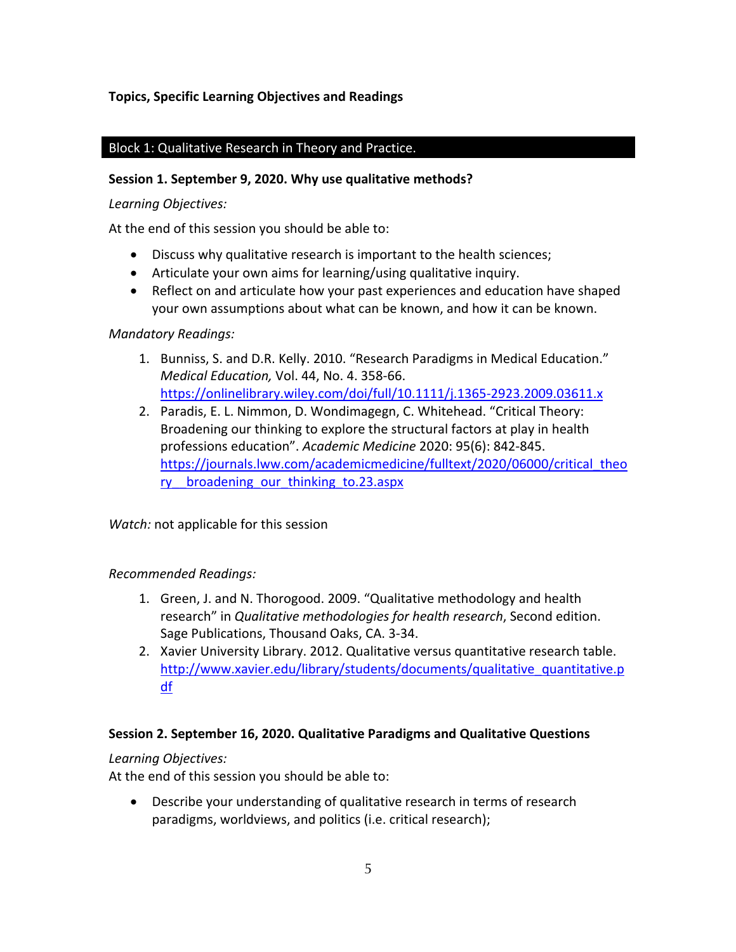# **Topics, Specific Learning Objectives and Readings**

## Block 1: Qualitative Research in Theory and Practice.

#### **Session 1. September 9, 2020. Why use qualitative methods?**

#### *Learning Objectives:*

At the end of this session you should be able to:

- Discuss why qualitative research is important to the health sciences;
- Articulate your own aims for learning/using qualitative inquiry.
- Reflect on and articulate how your past experiences and education have shaped your own assumptions about what can be known, and how it can be known.

#### *Mandatory Readings:*

- 1. Bunniss, S. and D.R. Kelly. 2010. "Research Paradigms in Medical Education." *Medical Education,* Vol. 44, No. 4. 358-66. https://onlinelibrary.wiley.com/doi/full/10.1111/j.1365-2923.2009.03611.x
- 2. Paradis, E. L. Nimmon, D. Wondimagegn, C. Whitehead. "Critical Theory: Broadening our thinking to explore the structural factors at play in health professions education". *Academic Medicine* 2020: 95(6): 842-845. https://journals.lww.com/academicmedicine/fulltext/2020/06000/critical\_theo ry broadening our thinking to.23.aspx

*Watch:* not applicable for this session

## *Recommended Readings:*

- 1. Green, J. and N. Thorogood. 2009. "Qualitative methodology and health research" in *Qualitative methodologies for health research*, Second edition. Sage Publications, Thousand Oaks, CA. 3-34.
- 2. Xavier University Library. 2012. Qualitative versus quantitative research table. http://www.xavier.edu/library/students/documents/qualitative\_quantitative.p df

## **Session 2. September 16, 2020. Qualitative Paradigms and Qualitative Questions**

## *Learning Objectives:*

At the end of this session you should be able to:

• Describe your understanding of qualitative research in terms of research paradigms, worldviews, and politics (i.e. critical research);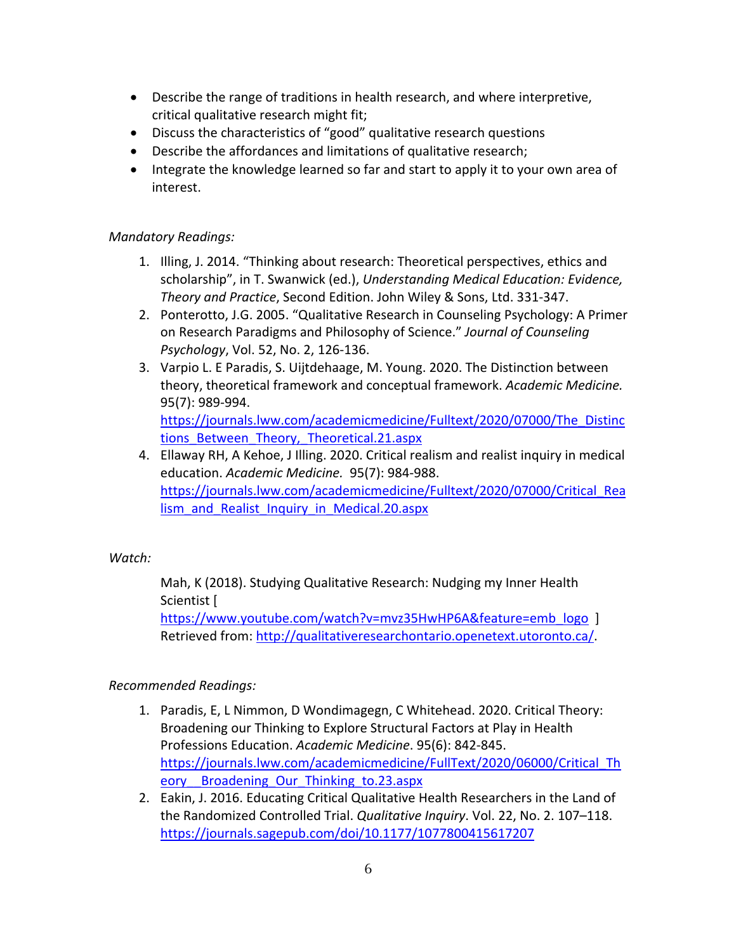- Describe the range of traditions in health research, and where interpretive, critical qualitative research might fit;
- Discuss the characteristics of "good" qualitative research questions
- Describe the affordances and limitations of qualitative research;
- Integrate the knowledge learned so far and start to apply it to your own area of interest.

## *Mandatory Readings:*

- 1. Illing, J. 2014. "Thinking about research: Theoretical perspectives, ethics and scholarship", in T. Swanwick (ed.), *Understanding Medical Education: Evidence, Theory and Practice*, Second Edition. John Wiley & Sons, Ltd. 331-347.
- 2. Ponterotto, J.G. 2005. "Qualitative Research in Counseling Psychology: A Primer on Research Paradigms and Philosophy of Science." *Journal of Counseling Psychology*, Vol. 52, No. 2, 126-136.
- 3. Varpio L. E Paradis, S. Uijtdehaage, M. Young. 2020. The Distinction between theory, theoretical framework and conceptual framework. *Academic Medicine.* 95(7): 989-994. https://journals.lww.com/academicmedicine/Fulltext/2020/07000/The\_Distinc
- tions Between Theory, Theoretical.21.aspx 4. Ellaway RH, A Kehoe, J Illing. 2020. Critical realism and realist inquiry in medical education. *Academic Medicine.* 95(7): 984-988. https://journals.lww.com/academicmedicine/Fulltext/2020/07000/Critical\_Rea lism and Realist Inquiry in Medical.20.aspx

# *Watch:*

Mah, K (2018). Studying Qualitative Research: Nudging my Inner Health Scientist [

https://www.youtube.com/watch?v=mvz35HwHP6A&feature=emb\_logo ] Retrieved from: http://qualitativeresearchontario.openetext.utoronto.ca/.

# *Recommended Readings:*

- 1. Paradis, E, L Nimmon, D Wondimagegn, C Whitehead. 2020. Critical Theory: Broadening our Thinking to Explore Structural Factors at Play in Health Professions Education. *Academic Medicine*. 95(6): 842-845. https://journals.lww.com/academicmedicine/FullText/2020/06000/Critical\_Th eory Broadening Our Thinking to.23.aspx
- 2. Eakin, J. 2016. Educating Critical Qualitative Health Researchers in the Land of the Randomized Controlled Trial. *Qualitative Inquiry*. Vol. 22, No. 2. 107–118. https://journals.sagepub.com/doi/10.1177/1077800415617207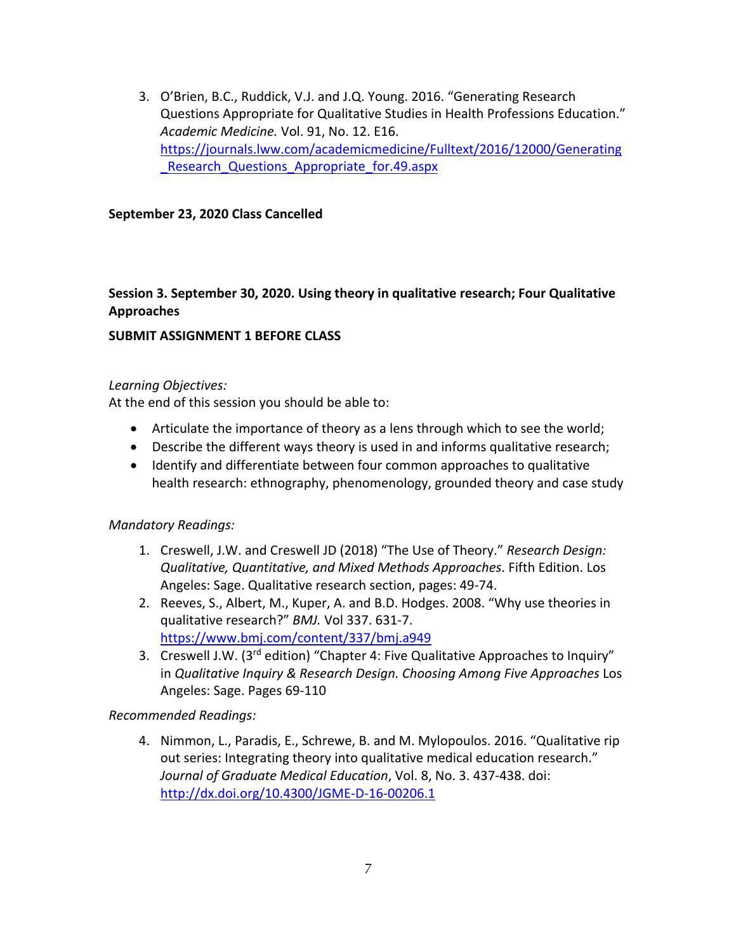3. O'Brien, B.C., Ruddick, V.J. and J.Q. Young. 2016. "Generating Research Questions Appropriate for Qualitative Studies in Health Professions Education." *Academic Medicine.* Vol. 91, No. 12. E16. https://journals.lww.com/academicmedicine/Fulltext/2016/12000/Generating Research Questions Appropriate for.49.aspx

#### **September 23, 2020 Class Cancelled**

## **Session 3. September 30, 2020. Using theory in qualitative research; Four Qualitative Approaches**

#### **SUBMIT ASSIGNMENT 1 BEFORE CLASS**

#### *Learning Objectives:*

At the end of this session you should be able to:

- Articulate the importance of theory as a lens through which to see the world;
- Describe the different ways theory is used in and informs qualitative research;
- Identify and differentiate between four common approaches to qualitative health research: ethnography, phenomenology, grounded theory and case study

## *Mandatory Readings:*

- 1. Creswell, J.W. and Creswell JD (2018) "The Use of Theory." *Research Design: Qualitative, Quantitative, and Mixed Methods Approaches*. Fifth Edition. Los Angeles: Sage. Qualitative research section, pages: 49-74.
- 2. Reeves, S., Albert, M., Kuper, A. and B.D. Hodges. 2008. "Why use theories in qualitative research?" *BMJ.* Vol 337. 631-7. https://www.bmj.com/content/337/bmj.a949
- 3. Creswell J.W. (3rd edition) "Chapter 4: Five Qualitative Approaches to Inquiry" in *Qualitative Inquiry & Research Design. Choosing Among Five Approaches* Los Angeles: Sage. Pages 69-110

*Recommended Readings:*

4. Nimmon, L., Paradis, E., Schrewe, B. and M. Mylopoulos. 2016. "Qualitative rip out series: Integrating theory into qualitative medical education research." *Journal of Graduate Medical Education*, Vol. 8, No. 3. 437-438. doi: http://dx.doi.org/10.4300/JGME-D-16-00206.1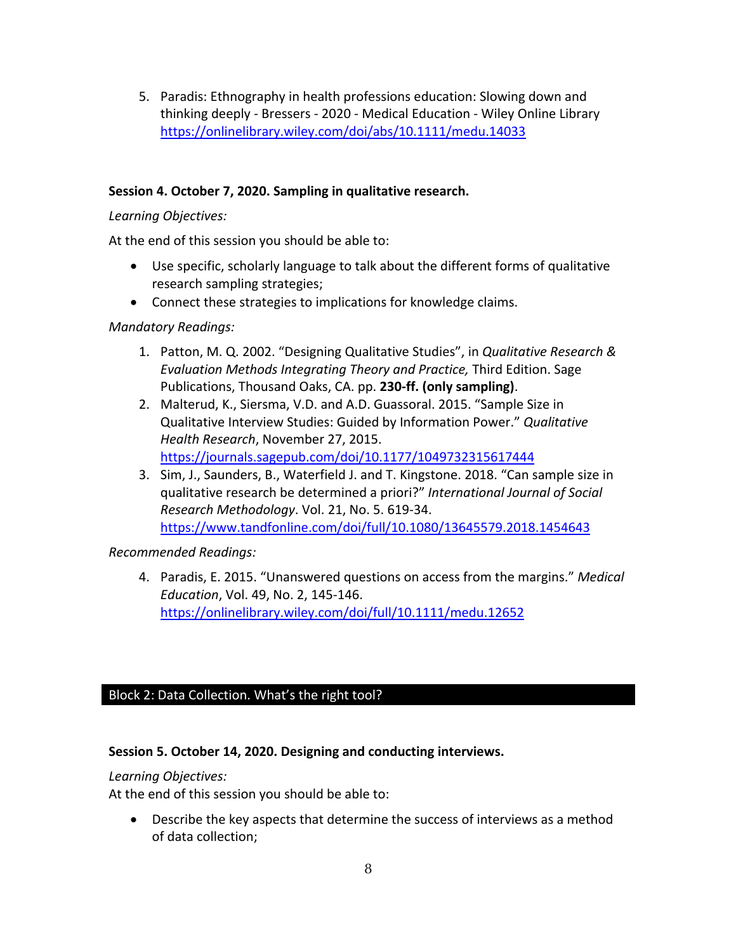5. Paradis: Ethnography in health professions education: Slowing down and thinking deeply - Bressers - 2020 - Medical Education - Wiley Online Library https://onlinelibrary.wiley.com/doi/abs/10.1111/medu.14033

## **Session 4. October 7, 2020. Sampling in qualitative research.**

## *Learning Objectives:*

At the end of this session you should be able to:

- Use specific, scholarly language to talk about the different forms of qualitative research sampling strategies;
- Connect these strategies to implications for knowledge claims.

## *Mandatory Readings:*

- 1. Patton, M. Q. 2002. "Designing Qualitative Studies", in *Qualitative Research & Evaluation Methods Integrating Theory and Practice,* Third Edition. Sage Publications, Thousand Oaks, CA. pp. **230-ff. (only sampling)**.
- 2. Malterud, K., Siersma, V.D. and A.D. Guassoral. 2015. "Sample Size in Qualitative Interview Studies: Guided by Information Power." *Qualitative Health Research*, November 27, 2015. https://journals.sagepub.com/doi/10.1177/1049732315617444
- 3. Sim, J., Saunders, B., Waterfield J. and T. Kingstone. 2018. "Can sample size in qualitative research be determined a priori?" *International Journal of Social Research Methodology*. Vol. 21, No. 5. 619-34. https://www.tandfonline.com/doi/full/10.1080/13645579.2018.1454643

*Recommended Readings:*

4. Paradis, E. 2015. "Unanswered questions on access from the margins." *Medical Education*, Vol. 49, No. 2, 145-146. https://onlinelibrary.wiley.com/doi/full/10.1111/medu.12652

# Block 2: Data Collection. What's the right tool?

## **Session 5. October 14, 2020. Designing and conducting interviews.**

## *Learning Objectives:*

At the end of this session you should be able to:

• Describe the key aspects that determine the success of interviews as a method of data collection;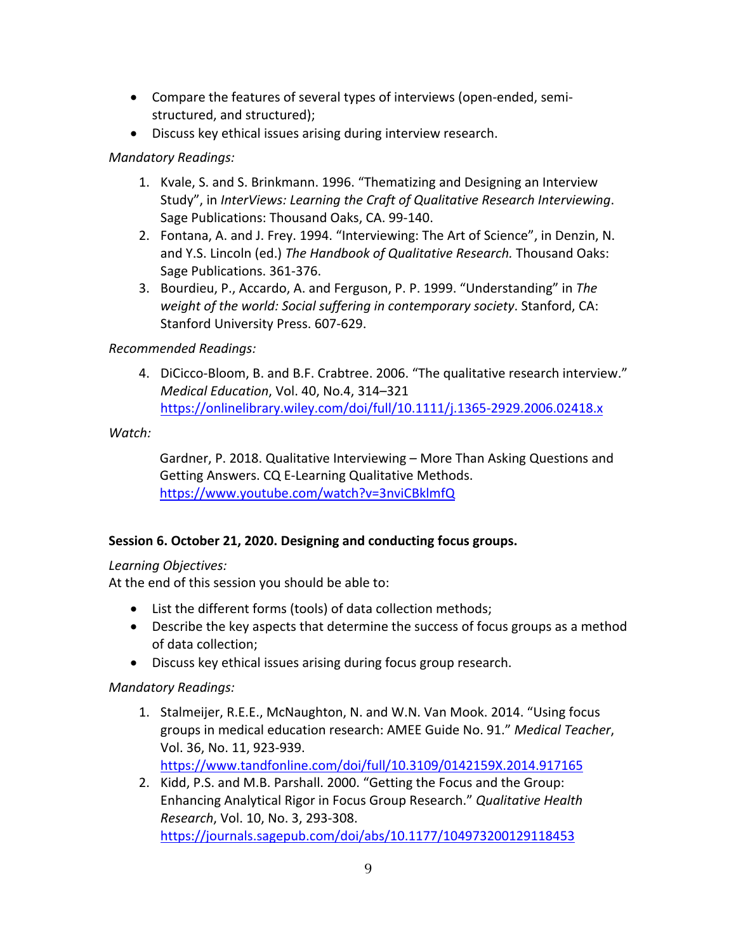- Compare the features of several types of interviews (open-ended, semistructured, and structured);
- Discuss key ethical issues arising during interview research.

## *Mandatory Readings:*

- 1. Kvale, S. and S. Brinkmann. 1996. "Thematizing and Designing an Interview Study", in *InterViews: Learning the Craft of Qualitative Research Interviewing*. Sage Publications: Thousand Oaks, CA. 99-140.
- 2. Fontana, A. and J. Frey. 1994. "Interviewing: The Art of Science", in Denzin, N. and Y.S. Lincoln (ed.) *The Handbook of Qualitative Research.* Thousand Oaks: Sage Publications. 361-376.
- 3. Bourdieu, P., Accardo, A. and Ferguson, P. P. 1999. "Understanding" in *The weight of the world: Social suffering in contemporary society*. Stanford, CA: Stanford University Press. 607-629.

## *Recommended Readings:*

4. DiCicco-Bloom, B. and B.F. Crabtree. 2006. "The qualitative research interview." *Medical Education*, Vol. 40, No.4, 314–321 https://onlinelibrary.wiley.com/doi/full/10.1111/j.1365-2929.2006.02418.x

*Watch:*

Gardner, P. 2018. Qualitative Interviewing – More Than Asking Questions and Getting Answers. CQ E-Learning Qualitative Methods. https://www.youtube.com/watch?v=3nviCBklmfQ

# **Session 6. October 21, 2020. Designing and conducting focus groups.**

# *Learning Objectives:*

At the end of this session you should be able to:

- List the different forms (tools) of data collection methods;
- Describe the key aspects that determine the success of focus groups as a method of data collection;
- Discuss key ethical issues arising during focus group research.

# *Mandatory Readings:*

- 1. Stalmeijer, R.E.E., McNaughton, N. and W.N. Van Mook. 2014. "Using focus groups in medical education research: AMEE Guide No. 91." *Medical Teacher*, Vol. 36, No. 11, 923-939. https://www.tandfonline.com/doi/full/10.3109/0142159X.2014.917165
- 2. Kidd, P.S. and M.B. Parshall. 2000. "Getting the Focus and the Group: Enhancing Analytical Rigor in Focus Group Research." *Qualitative Health Research*, Vol. 10, No. 3, 293-308. https://journals.sagepub.com/doi/abs/10.1177/104973200129118453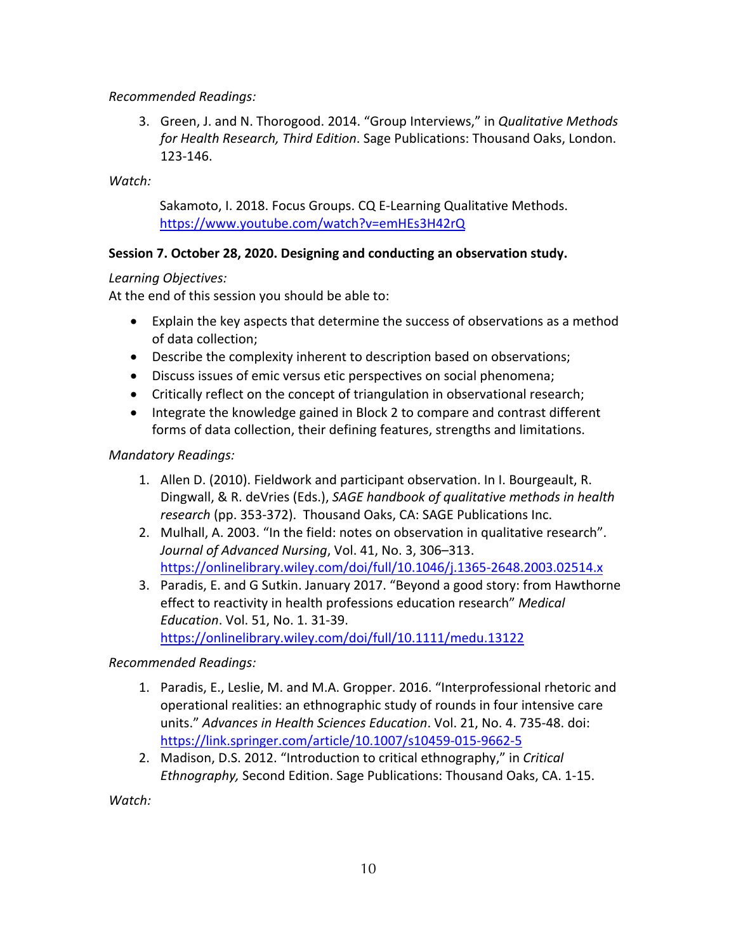## *Recommended Readings:*

3. Green, J. and N. Thorogood. 2014. "Group Interviews," in *Qualitative Methods for Health Research, Third Edition*. Sage Publications: Thousand Oaks, London. 123-146.

*Watch:*

Sakamoto, I. 2018. Focus Groups. CQ E-Learning Qualitative Methods. https://www.youtube.com/watch?v=emHEs3H42rQ

## **Session 7. October 28, 2020. Designing and conducting an observation study.**

## *Learning Objectives:*

At the end of this session you should be able to:

- Explain the key aspects that determine the success of observations as a method of data collection;
- Describe the complexity inherent to description based on observations;
- Discuss issues of emic versus etic perspectives on social phenomena;
- Critically reflect on the concept of triangulation in observational research;
- Integrate the knowledge gained in Block 2 to compare and contrast different forms of data collection, their defining features, strengths and limitations.

## *Mandatory Readings:*

- 1. Allen D. (2010). Fieldwork and participant observation. In I. Bourgeault, R. Dingwall, & R. deVries (Eds.), *SAGE handbook of qualitative methods in health research* (pp. 353-372). Thousand Oaks, CA: SAGE Publications Inc.
- 2. Mulhall, A. 2003. "In the field: notes on observation in qualitative research". *Journal of Advanced Nursing*, Vol. 41, No. 3, 306–313. https://onlinelibrary.wiley.com/doi/full/10.1046/j.1365-2648.2003.02514.x
- 3. Paradis, E. and G Sutkin. January 2017. "Beyond a good story: from Hawthorne effect to reactivity in health professions education research" *Medical Education*. Vol. 51, No. 1. 31-39. https://onlinelibrary.wiley.com/doi/full/10.1111/medu.13122

*Recommended Readings:*

- 1. Paradis, E., Leslie, M. and M.A. Gropper. 2016. "Interprofessional rhetoric and operational realities: an ethnographic study of rounds in four intensive care units." *Advances in Health Sciences Education*. Vol. 21, No. 4. 735-48. doi: https://link.springer.com/article/10.1007/s10459-015-9662-5
- 2. Madison, D.S. 2012. "Introduction to critical ethnography," in *Critical Ethnography,* Second Edition. Sage Publications: Thousand Oaks, CA. 1-15.

*Watch:*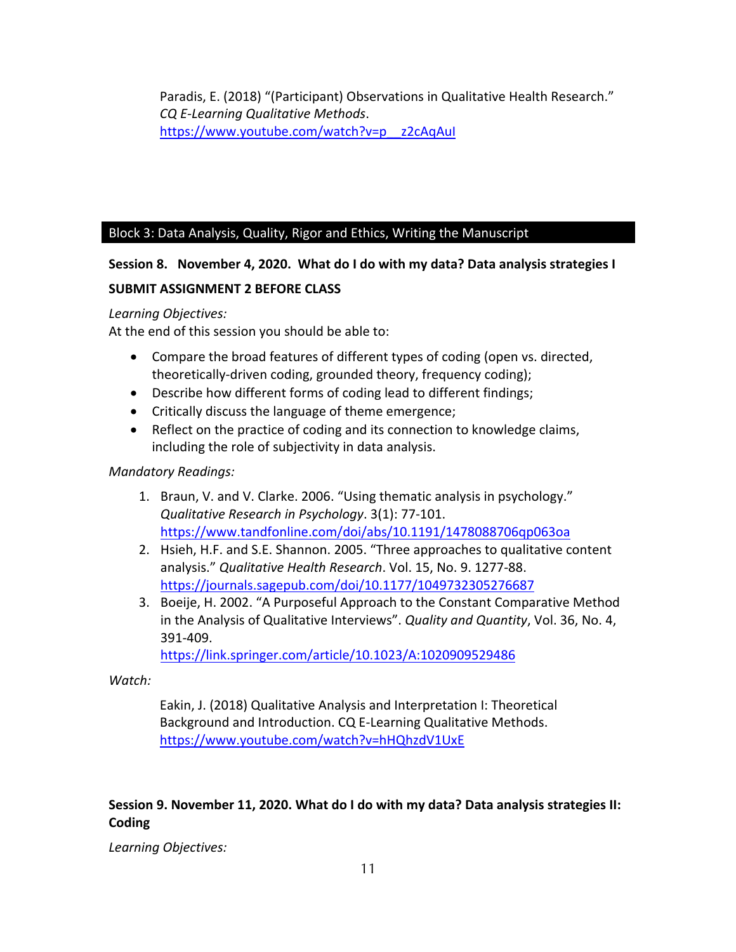Paradis, E. (2018) "(Participant) Observations in Qualitative Health Research." *CQ E-Learning Qualitative Methods*. https://www.youtube.com/watch?v=p\_\_z2cAqAuI

## Block 3: Data Analysis, Quality, Rigor and Ethics, Writing the Manuscript

## **Session 8. November 4, 2020. What do I do with my data? Data analysis strategies I**

## **SUBMIT ASSIGNMENT 2 BEFORE CLASS**

#### *Learning Objectives:*

At the end of this session you should be able to:

- Compare the broad features of different types of coding (open vs. directed, theoretically-driven coding, grounded theory, frequency coding);
- Describe how different forms of coding lead to different findings;
- Critically discuss the language of theme emergence;
- Reflect on the practice of coding and its connection to knowledge claims, including the role of subjectivity in data analysis.

## *Mandatory Readings:*

- 1. Braun, V. and V. Clarke. 2006. "Using thematic analysis in psychology." *Qualitative Research in Psychology*. 3(1): 77-101. https://www.tandfonline.com/doi/abs/10.1191/1478088706qp063oa
- 2. Hsieh, H.F. and S.E. Shannon. 2005. "Three approaches to qualitative content analysis." *Qualitative Health Research*. Vol. 15, No. 9. 1277-88. https://journals.sagepub.com/doi/10.1177/1049732305276687
- 3. Boeije, H. 2002. "A Purposeful Approach to the Constant Comparative Method in the Analysis of Qualitative Interviews". *Quality and Quantity*, Vol. 36, No. 4, 391-409.

https://link.springer.com/article/10.1023/A:1020909529486

#### *Watch:*

Eakin, J. (2018) Qualitative Analysis and Interpretation I: Theoretical Background and Introduction. CQ E-Learning Qualitative Methods. https://www.youtube.com/watch?v=hHQhzdV1UxE

# **Session 9. November 11, 2020. What do I do with my data? Data analysis strategies II: Coding**

*Learning Objectives:*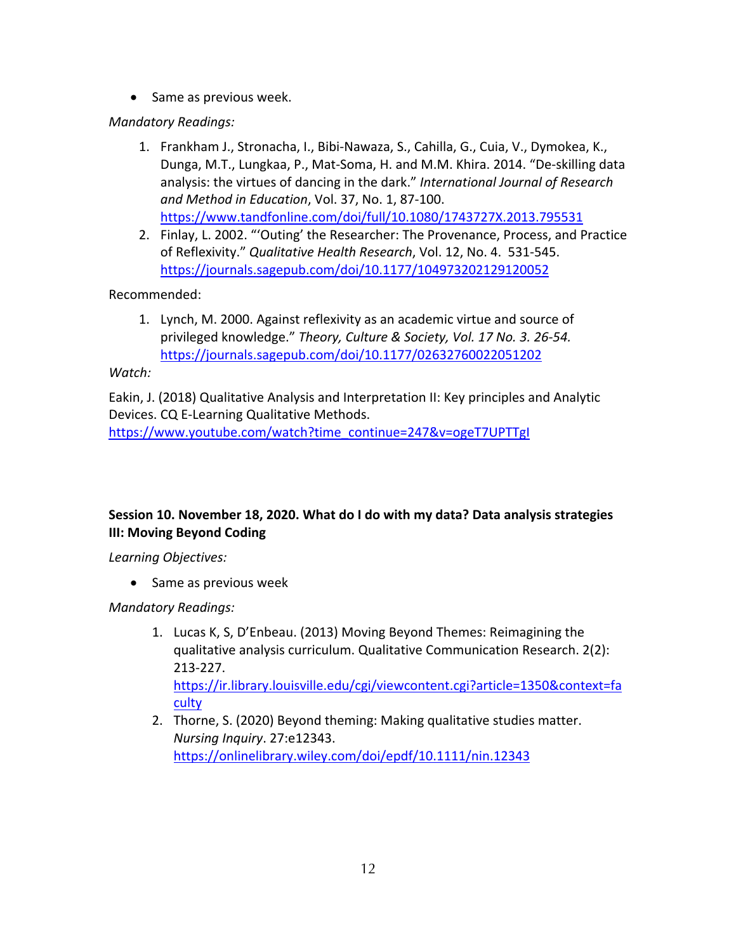• Same as previous week.

*Mandatory Readings:*

- 1. Frankham J., Stronacha, I., Bibi-Nawaza, S., Cahilla, G., Cuia, V., Dymokea, K., Dunga, M.T., Lungkaa, P., Mat-Soma, H. and M.M. Khira. 2014. "De-skilling data analysis: the virtues of dancing in the dark." *International Journal of Research and Method in Education*, Vol. 37, No. 1, 87-100. https://www.tandfonline.com/doi/full/10.1080/1743727X.2013.795531
- 2. Finlay, L. 2002. "'Outing' the Researcher: The Provenance, Process, and Practice of Reflexivity." *Qualitative Health Research*, Vol. 12, No. 4. 531-545. https://journals.sagepub.com/doi/10.1177/104973202129120052

Recommended:

1. Lynch, M. 2000. Against reflexivity as an academic virtue and source of privileged knowledge." *Theory, Culture & Society, Vol. 17 No. 3. 26-54.* https://journals.sagepub.com/doi/10.1177/02632760022051202

*Watch:* 

Eakin, J. (2018) Qualitative Analysis and Interpretation II: Key principles and Analytic Devices. CQ E-Learning Qualitative Methods. https://www.youtube.com/watch?time\_continue=247&v=ogeT7UPTTgI

# **Session 10. November 18, 2020. What do I do with my data? Data analysis strategies III: Moving Beyond Coding**

*Learning Objectives:*

• Same as previous week

*Mandatory Readings:*

- 1. Lucas K, S, D'Enbeau. (2013) Moving Beyond Themes: Reimagining the qualitative analysis curriculum. Qualitative Communication Research. 2(2): 213-227. https://ir.library.louisville.edu/cgi/viewcontent.cgi?article=1350&context=fa culty
- 2. Thorne, S. (2020) Beyond theming: Making qualitative studies matter. *Nursing Inquiry*. 27:e12343. https://onlinelibrary.wiley.com/doi/epdf/10.1111/nin.12343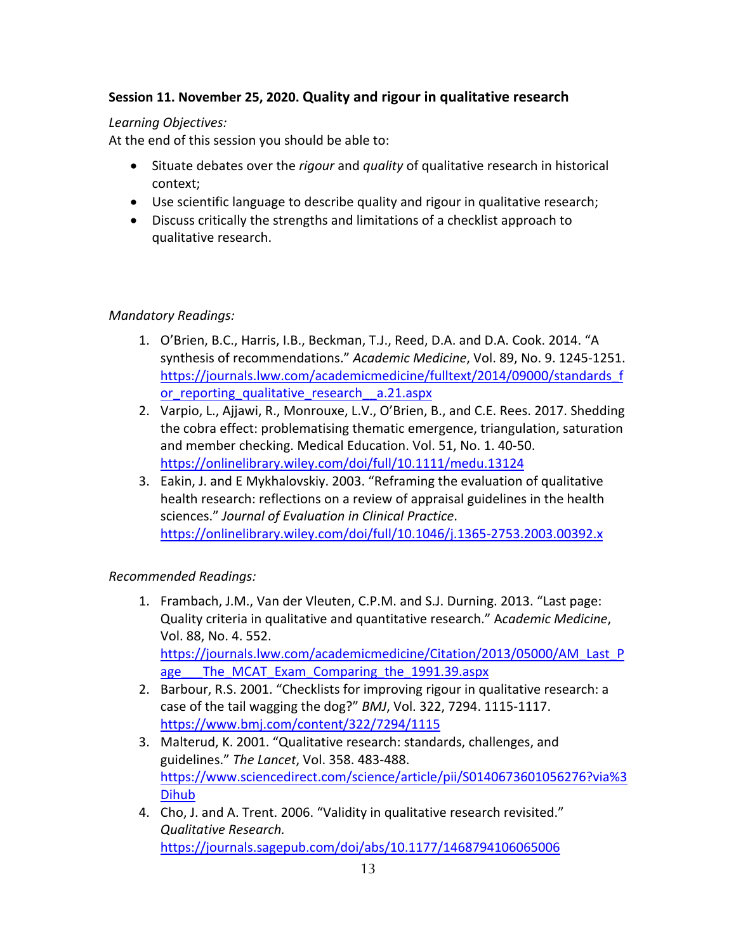# **Session 11. November 25, 2020. Quality and rigour in qualitative research**

## *Learning Objectives:*

At the end of this session you should be able to:

- Situate debates over the *rigour* and *quality* of qualitative research in historical context;
- Use scientific language to describe quality and rigour in qualitative research;
- Discuss critically the strengths and limitations of a checklist approach to qualitative research.

# *Mandatory Readings:*

- 1. O'Brien, B.C., Harris, I.B., Beckman, T.J., Reed, D.A. and D.A. Cook. 2014. "A synthesis of recommendations." *Academic Medicine*, Vol. 89, No. 9. 1245-1251. https://journals.lww.com/academicmedicine/fulltext/2014/09000/standards\_f or reporting qualitative research a.21.aspx
- 2. Varpio, L., Ajjawi, R., Monrouxe, L.V., O'Brien, B., and C.E. Rees. 2017. Shedding the cobra effect: problematising thematic emergence, triangulation, saturation and member checking. Medical Education. Vol. 51, No. 1. 40-50. https://onlinelibrary.wiley.com/doi/full/10.1111/medu.13124
- 3. Eakin, J. and E Mykhalovskiy. 2003. "Reframing the evaluation of qualitative health research: reflections on a review of appraisal guidelines in the health sciences." *Journal of Evaluation in Clinical Practice*. https://onlinelibrary.wiley.com/doi/full/10.1046/j.1365-2753.2003.00392.x

# *Recommended Readings:*

- 1. Frambach, J.M., Van der Vleuten, C.P.M. and S.J. Durning. 2013. "Last page: Quality criteria in qualitative and quantitative research." A*cademic Medicine*, Vol. 88, No. 4. 552. https://journals.lww.com/academicmedicine/Citation/2013/05000/AM\_Last\_P age The MCAT Exam Comparing the 1991.39.aspx
- 2. Barbour, R.S. 2001. "Checklists for improving rigour in qualitative research: a case of the tail wagging the dog?" *BMJ*, Vol. 322, 7294. 1115-1117. https://www.bmj.com/content/322/7294/1115
- 3. Malterud, K. 2001. "Qualitative research: standards, challenges, and guidelines." *The Lancet*, Vol. 358. 483-488. https://www.sciencedirect.com/science/article/pii/S0140673601056276?via%3 Dihub
- 4. Cho, J. and A. Trent. 2006. "Validity in qualitative research revisited." *Qualitative Research.* https://journals.sagepub.com/doi/abs/10.1177/1468794106065006